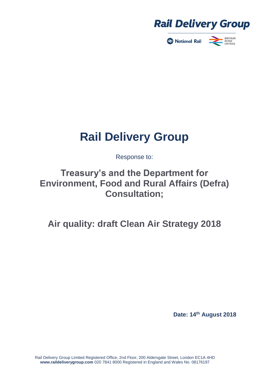

National Rail



# **Rail Delivery Group**

Response to:

# **Treasury's and the Department for Environment, Food and Rural Affairs (Defra) Consultation;**

**Air quality: draft Clean Air Strategy 2018**

**Date: 14th August 2018**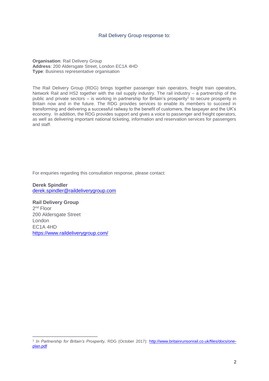#### Rail Delivery Group response to:

**Organisation**: Rail Delivery Group **Address**: 200 Aldersgate Street, London EC1A 4HD **Type**: Business representative organisation

The Rail Delivery Group (RDG) brings together passenger train operators, freight train operators, Network Rail and HS2 together with the rail supply industry. The rail industry – a partnership of the public and private sectors – is working in partnership for Britain's prosperity<sup>1</sup> to secure prosperity in Britain now and in the future. The RDG provides services to enable its members to succeed in transforming and delivering a successful railway to the benefit of customers, the taxpayer and the UK's economy. In addition, the RDG provides support and gives a voice to passenger and freight operators, as well as delivering important national ticketing, information and reservation services for passengers and staff.

For enquiries regarding this consultation response, please contact:

**Derek Spindler** [derek.spindler@raildeliverygroup.com](mailto:derek.spindler@raildeliverygroup.com)

**Rail Delivery Group** 2<sup>nd</sup> Floor 200 Aldersgate Street London EC1A 4HD <https://www.raildeliverygroup.com/>

-

<sup>1</sup> *In Partnership for Britain's Prosperity,* RDG (October 2017): [http://www.britainrunsonrail.co.uk/files/docs/one](http://www.britainrunsonrail.co.uk/files/docs/one-plan.pdf)[plan.pdf](http://www.britainrunsonrail.co.uk/files/docs/one-plan.pdf)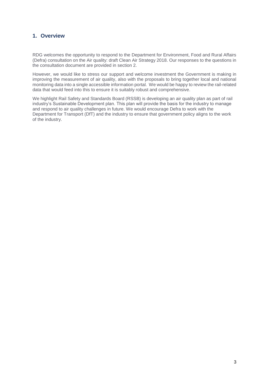## **1. Overview**

RDG welcomes the opportunity to respond to the Department for Environment, Food and Rural Affairs (Defra) consultation on the Air quality: draft Clean Air Strategy 2018. Our responses to the questions in the consultation document are provided in section 2.

However, we would like to stress our support and welcome investment the Government is making in improving the measurement of air quality, also with the proposals to bring together local and national monitoring data into a single accessible information portal. We would be happy to review the rail-related data that would feed into this to ensure it is suitably robust and comprehensive.

We highlight Rail Safety and Standards Board (RSSB) is developing an air quality plan as part of rail industry's Sustainable Development plan. This plan will provide the basis for the industry to manage and respond to air quality challenges in future. We would encourage Defra to work with the Department for Transport (DfT) and the industry to ensure that government policy aligns to the work of the industry.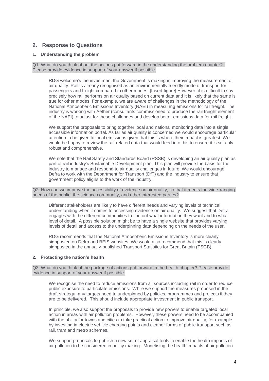### **2. Response to Questions**

#### **1. Understanding the problem**

Q1. What do you think about the actions put forward in the understanding the problem chapter? Please provide evidence in support of your answer if possible.

RDG welcome's the investment the Government is making in improving the measurement of air quality. Rail is already recognised as an environmentally friendly mode of transport for passengers and freight compared to other modes. [Insert figure] However, it is difficult to say precisely how rail performs on air quality based on current data and it is likely that the same is true for other modes. For example, we are aware of challenges in the methodology of the National Atmospheric Emissions Inventory (NAEI) in measuring emissions for rail freight. The industry is working with Aether (consultants commissioned to produce the rail freight element of the NAEI) to adjust for these challenges and develop better emissions data for rail freight.

We support the proposals to bring together local and national monitoring data into a single accessible information portal. As far as air quality is concerned we would encourage particular attention to be given to local emissions given that this is where their impact is greatest. We would be happy to review the rail-related data that would feed into this to ensure it is suitably robust and comprehensive.

We note that the Rail Safety and Standards Board (RSSB) is developing an air quality plan as part of rail industry's Sustainable Development plan. This plan will provide the basis for the industry to manage and respond to air quality challenges in future. We would encourage Defra to work with the Department for Transport (DfT) and the industry to ensure that government policy aligns to the work of the industry.

Q2. How can we improve the accessibility of evidence on air quality, so that it meets the wide-ranging needs of the public, the science community, and other interested parties?

Different stakeholders are likely to have different needs and varying levels of technical understanding when it comes to accessing evidence on air quality. We suggest that Defra engages with the different communities to find out what information they want and to what level of detail. A possible solution might be to have a single website that provides varying levels of detail and access to the underpinning data depending on the needs of the user.

RDG recommends that the National Atmospheric Emissions Inventory is more clearly signposted on Defra and BEIS websites. We would also recommend that this is clearly signposted in the annually-published Transport Statistics for Great Britain (TSGB).

#### **2. Protecting the nation's health**

Q3. What do you think of the package of actions put forward in the health chapter? Please provide evidence in support of your answer if possible.

We recognise the need to reduce emissions from all sources including rail in order to reduce public exposure to particulate emissions. While we support the measures proposed in the draft strategu, any targets need to underpinned by policies, programmes and projects if they are to be delivered. This should include appropriate investment in public transport.

In principle, we also support the proposals to provide new powers to enable targeted local action in areas with air pollution problems. However, these powers need to be accompanied with the ability for towns and cities to take practical action to improve air quality, for example by investing in electric vehicle charging points and cleaner forms of public transport such as rail, tram and metro schemes.

We support proposals to publish a new set of appraisal tools to enable the health impacts of air pollution to be considered in policy making. Monetising the health impacts of air pollution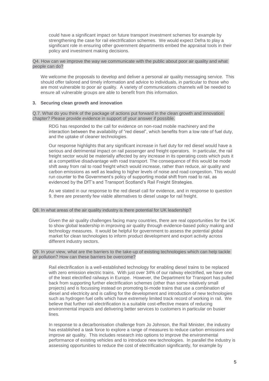could have a significant impact on future transport investment schemes for example by strengthening the case for rail electrification schemes. We would expect Defra to play a significant role in ensuring other government departments embed the appraisal tools in their policy and investment making decisions.

Q4. How can we improve the way we communicate with the public about poor air quality and what people can do?

We welcome the proposals to develop and deliver a personal air quality messaging service. This should offer tailored and timely information and advice to individuals, in particular to those who are most vulnerable to poor air quality. A variety of communications channels will be needed to ensure all vulnerable groups are able to benefit from this information.

#### **3. Securing clean growth and innovation**

Q.7. What do you think of the package of actions put forward in the clean growth and innovation chapter? Please provide evidence in support of your answer if possible.

RDG has responded to the call for evidence on non-road mobile machinery and the interaction between the availability of "red diesel", which benefits from a low rate of fuel duty, and the uptake of cleaner technologies.

Our response highlights that any significant increase in fuel duty for red diesel would have a serious and detrimental impact on rail passenger and freight operators. In particular, the rail freight sector would be materially affected by any increase in its operating costs which puts it at a competitive disadvantage with road transport. The consequence of this would be mode shift away from rail to road freight which would increase, rather than reduce, air quality and carbon emissions as well as leading to higher levels of noise and road congestion. This would run counter to the Government's policy of supporting modal shift from road to rail, as evidenced by the DfT's and Transport Scotland's Rail Freight Strategies.

As we stated in our response to the red diesel call for evidence, and in response to question 9, there are presently few viable alternatives to diesel usage for rail freight.

#### Q8. In what areas of the air quality industry is there potential for UK leadership?

Given the air quality challenges facing many countries, there are real opportunities for the UK to show global leadership in improving air quality through evidence-based policy making and technology measures. It would be helpful for government to assess the potential global market for clean technologies to inform product development and export activity across different industry sectors.

#### Q9. In your view, what are the barriers to the take-up of existing technologies which can help tackle air pollution? How can these barriers be overcome?

Rail electrification is a well-established technology for enabling diesel trains to be replaced with zero emission electric trains. With just over 34% of our railway electrified, we have one of the least electrified railways in Europe. However, the Department for Transport has pulled back from supporting further electrification schemes (other than some relatively small projects) and is focussing instead on promoting bi-mode trains that use a combination of diesel and electricity and is calling for the development and introduction of new technologies such as hydrogen fuel cells which have extremely limited track record of working in rail. We believe that further rail electrification is a suitable cost-effective means of reducing environmental impacts and delivering better services to customers in particular on busier lines.

In response to a decarbonisation challenge from Jo Johnson, the Rail Minister, the industry has established a task force to explore a range of measures to reduce carbon emissions and improve air quality. This includes research into options to improve the environmental performance of existing vehicles and to introduce new technologies. In parallel the industry is assessing opportunities to reduce the cost of electrification significantly, for example by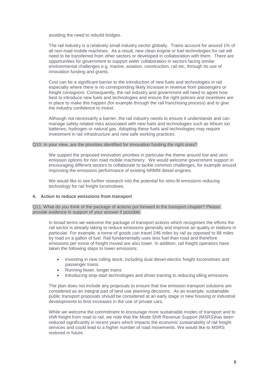avoiding the need to rebuild bridges.

The rail industry is a relatively small industry sector globally. Trains account for around 1% of all non-road mobile machines. As a result, new clean engine or fuel technologies for rail will need to be transferred from other sectors or developed in collaboration with them. There are opportunities for government to support wider collaboration in sectors facing similar environmental challenges e.g. marine, aviation, construction, rail etc, through its use of innovation funding and grants.

Cost can be a significant barrier to the introduction of new fuels and technologies in rail especially where there is no corresponding likely increase in revenue from passengers or freight consignors. Consequently, the rail industry and government will need to agree how best to introduce new fuels and technologies and ensure the right policies and incentives are in place to make this happen (for example through the rail franchising process) and to give the industry confidence to invest.

Although not necessarily a barrier, the rail industry needs to ensure it understands and can manage safety related risks associated with new fuels and technologies such as lithium ion batteries, hydrogen or natural gas. Adopting these fuels and technologies may require investment in rail infrastructure and new safe working practices.

#### Q10. In your view, are the priorities identified for innovation funding the right ones?

We support the proposed innovation priorities in particular the theme around low and zero emission options for non road mobile machinery. We would welcome government support in encouraging different sectors to collaborate to tackle common challenges, for example around improving the emissions performance of existing NRMM diesel engines.

We would like to see further research into the potential for retro-fit emissions reducing technology for rail freight locomotives.

#### **4. Action to reduce emissions from transport**

Q11. What do you think of the package of actions put forward in the transport chapter? Please provide evidence in support of your answer if possible.

In broad terms we welcome the package of transport actions which recognises the efforts the rail sector is already taking to reduce emissions generally and improve air quality in stations in particular. For example, a tonne of goods can travel 246 miles by rail as opposed to 88 miles by road on a gallon of fuel. Rail fundamentally uses less fuel than road and therefore emissions per tonne of freight moved are also lower. In addition, rail freight operators have taken the following steps to lower emissions:

- Investing in new rolling stock, including dual diesel-electric freight locomotives and passenger trains
- Running fewer, longer trains
- Introducing stop-start technologies and driver training to reducing idling emissions

The plan does not include any proposals to ensure that low emission transport solutions are considered as an integral part of land use planning decisions. As an example, sustainable public transport proposals should be considered at an early stage in new housing or industrial developments to limit increases in the use of private cars.

While we welcome the commitment to encourage more sustainable modes of transport and to shift freight from road to rail, we note that the Mode Shift Revenue Support (MSRS)has been reduced significantly in recent years which impacts the economic sustainability of rail freight services and could lead to a higher number of road movements. We would like to MSRS restored in future.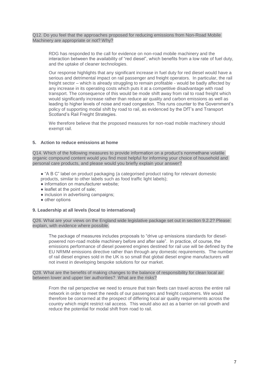Q12. Do you feel that the approaches proposed for reducing emissions from Non-Road Mobile Machinery are appropriate or not? Why?

RDG has responded to the call for evidence on non-road mobile machinery and the interaction between the availability of "red diesel", which benefits from a low rate of fuel duty, and the uptake of cleaner technologies.

Our response highlights that any significant increase in fuel duty for red diesel would have a serious and detrimental impact on rail passenger and freight operators. In particular, the rail freight sector – which is already struggling to remain profitable - would be badly affected by any increase in its operating costs which puts it at a competitive disadvantage with road transport. The consequence of this would be mode shift away from rail to road freight which would significantly increase rather than reduce air quality and carbon emissions as well as leading to higher levels of noise and road congestion. This runs counter to the Government's policy of supporting modal shift by road to rail, as evidenced by the DfT's and Transport Scotland's Rail Freight Strategies.

We therefore believe that the proposed measures for non-road mobile machinery should exempt rail.

#### **5. Action to reduce emissions at home**

Q14. Which of the following measures to provide information on a product's nonmethane volatile organic compound content would you find most helpful for informing your choice of household and personal care products, and please would you briefly explain your answer?

- "A B C" label on product packaging (a categorised product rating for relevant domestic products, similar to other labels such as food traffic light labels);
- information on manufacturer website:
- leaflet at the point of sale;
- inclusion in advertising campaigns;
- other options

#### **9. Leadership at all levels (local to international)**

Q26. What are your views on the England wide legislative package set out in section 9.2.2? Please explain, with evidence where possible.

The package of measures includes proposals to "drive up emissions standards for dieselpowered non-road mobile machinery before and after sale". In practice, of course, the emissions performance of diesel powered engines destined for rail use will be defined by the EU NRMM emissions directive rather than through any domestic requirements. The number of rail diesel engines sold in the UK is so small that global diesel engine manufacturers will not invest in developing bespoke solutions for our market.

Q28. What are the benefits of making changes to the balance of responsibility for clean local air between lower and upper tier authorities? What are the risks?

From the rail perspective we need to ensure that train fleets can travel across the entire rail network in order to meet the needs of our passengers and freight customers. We would therefore be concerned at the prospect of differing local air quality requirements across the country which might restrict rail access. This would also act as a barrier on rail growth and reduce the potential for modal shift from road to rail.